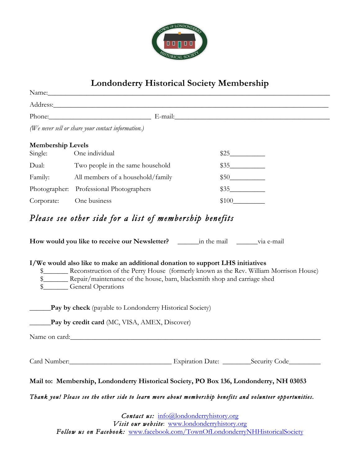

# **Londonderry Historical Society Membership**

|                                     | Name: Name and the second contract of the second contract of the second contract of the second contract of the second contract of the second contract of the second contract of the second contract of the second contract of                                                                            |       |
|-------------------------------------|----------------------------------------------------------------------------------------------------------------------------------------------------------------------------------------------------------------------------------------------------------------------------------------------------------|-------|
|                                     | Address: Andreas Address: Address: Address: Address: Address: Address: Address: Address: Address: Address: Address: Address: Address: Address: Address: Address: Address: Address: Address: Address: Address: Address: Address                                                                           |       |
|                                     | Phone: E-mail: E-mail:                                                                                                                                                                                                                                                                                   |       |
|                                     | (We never sell or share your contact information.)                                                                                                                                                                                                                                                       |       |
| <b>Membership Levels</b><br>Single: | One individual                                                                                                                                                                                                                                                                                           | \$25  |
| Dual:                               | Two people in the same household                                                                                                                                                                                                                                                                         | \$35  |
| Family:                             | All members of a household/family                                                                                                                                                                                                                                                                        | \$50  |
|                                     | Photographer: Professional Photographers                                                                                                                                                                                                                                                                 | \$35  |
| Corporate:                          | One business                                                                                                                                                                                                                                                                                             | \$100 |
|                                     | I/We would also like to make an additional donation to support LHS initiatives<br>\$<br>Reconstruction of the Perry House (formerly known as the Rev. William Morrison House)<br>\$ ________ Repair/maintenance of the house, barn, blacksmith shop and carriage shed<br>\$__________ General Operations |       |
|                                     | <b>Pay by check</b> (payable to Londonderry Historical Society)                                                                                                                                                                                                                                          |       |
|                                     | Pay by credit card (MC, VISA, AMEX, Discover)                                                                                                                                                                                                                                                            |       |
|                                     | Name on card:                                                                                                                                                                                                                                                                                            |       |
|                                     |                                                                                                                                                                                                                                                                                                          |       |
|                                     | Mail to: Membership, Londonderry Historical Society, PO Box 136, Londonderry, NH 03053                                                                                                                                                                                                                   |       |

*Thank you! Please see the other side to learn more about membership benefits and volunteer opportunities.* 

*Contact us:* info@londonderryhistory.org *Visit our website*: www.londonderryhistory.org *Follow us on Facebook:* www.facebook.com/TownOfLondonderryNHHistoricalSociety